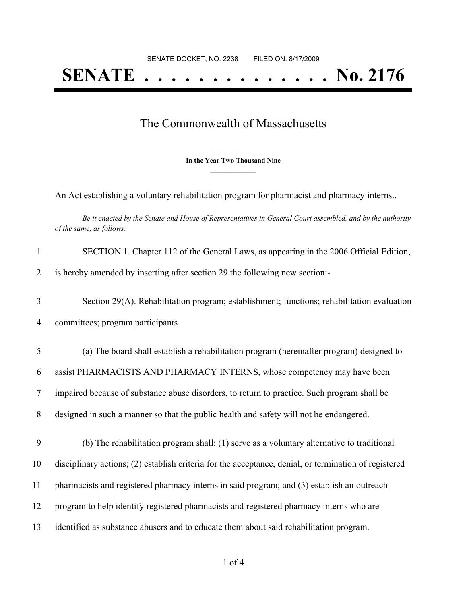## **SENATE . . . . . . . . . . . . . . No. 2176**

## The Commonwealth of Massachusetts

**\_\_\_\_\_\_\_\_\_\_\_\_\_\_\_ In the Year Two Thousand Nine \_\_\_\_\_\_\_\_\_\_\_\_\_\_\_**

An Act establishing a voluntary rehabilitation program for pharmacist and pharmacy interns..

Be it enacted by the Senate and House of Representatives in General Court assembled, and by the authority *of the same, as follows:*

| $\mathbf{1}$ | SECTION 1. Chapter 112 of the General Laws, as appearing in the 2006 Official Edition,                |
|--------------|-------------------------------------------------------------------------------------------------------|
| 2            | is hereby amended by inserting after section 29 the following new section:-                           |
| 3            | Section 29(A). Rehabilitation program; establishment; functions; rehabilitation evaluation            |
| 4            | committees; program participants                                                                      |
| 5            | (a) The board shall establish a rehabilitation program (hereinafter program) designed to              |
| 6            | assist PHARMACISTS AND PHARMACY INTERNS, whose competency may have been                               |
| $\tau$       | impaired because of substance abuse disorders, to return to practice. Such program shall be           |
| 8            | designed in such a manner so that the public health and safety will not be endangered.                |
| 9            | (b) The rehabilitation program shall: (1) serve as a voluntary alternative to traditional             |
| 10           | disciplinary actions; (2) establish criteria for the acceptance, denial, or termination of registered |
| 11           | pharmacists and registered pharmacy interns in said program; and (3) establish an outreach            |
| 12           | program to help identify registered pharmacists and registered pharmacy interns who are               |
| 13           | identified as substance abusers and to educate them about said rehabilitation program.                |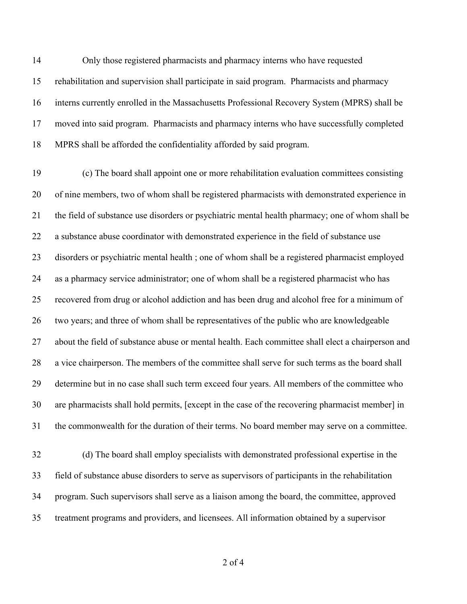Only those registered pharmacists and pharmacy interns who have requested rehabilitation and supervision shall participate in said program. Pharmacists and pharmacy interns currently enrolled in the Massachusetts Professional Recovery System (MPRS) shall be moved into said program. Pharmacists and pharmacy interns who have successfully completed MPRS shall be afforded the confidentiality afforded by said program.

 (c) The board shall appoint one or more rehabilitation evaluation committees consisting of nine members, two of whom shall be registered pharmacists with demonstrated experience in the field of substance use disorders or psychiatric mental health pharmacy; one of whom shall be a substance abuse coordinator with demonstrated experience in the field of substance use disorders or psychiatric mental health ; one of whom shall be a registered pharmacist employed as a pharmacy service administrator; one of whom shall be a registered pharmacist who has recovered from drug or alcohol addiction and has been drug and alcohol free for a minimum of two years; and three of whom shall be representatives of the public who are knowledgeable about the field of substance abuse or mental health. Each committee shall elect a chairperson and a vice chairperson. The members of the committee shall serve for such terms as the board shall determine but in no case shall such term exceed four years. All members of the committee who are pharmacists shall hold permits, [except in the case of the recovering pharmacist member] in the commonwealth for the duration of their terms. No board member may serve on a committee.

 (d) The board shall employ specialists with demonstrated professional expertise in the field of substance abuse disorders to serve as supervisors of participants in the rehabilitation program. Such supervisors shall serve as a liaison among the board, the committee, approved treatment programs and providers, and licensees. All information obtained by a supervisor

of 4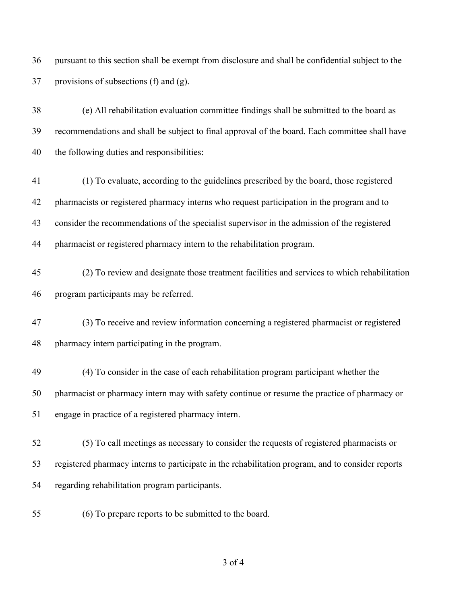pursuant to this section shall be exempt from disclosure and shall be confidential subject to the provisions of subsections (f) and (g).

 (e) All rehabilitation evaluation committee findings shall be submitted to the board as recommendations and shall be subject to final approval of the board. Each committee shall have the following duties and responsibilities:

- (1) To evaluate, according to the guidelines prescribed by the board, those registered pharmacists or registered pharmacy interns who request participation in the program and to consider the recommendations of the specialist supervisor in the admission of the registered pharmacist or registered pharmacy intern to the rehabilitation program.
- (2) To review and designate those treatment facilities and services to which rehabilitation program participants may be referred.

 (3) To receive and review information concerning a registered pharmacist or registered pharmacy intern participating in the program.

- (4) To consider in the case of each rehabilitation program participant whether the pharmacist or pharmacy intern may with safety continue or resume the practice of pharmacy or engage in practice of a registered pharmacy intern.
- (5) To call meetings as necessary to consider the requests of registered pharmacists or registered pharmacy interns to participate in the rehabilitation program, and to consider reports regarding rehabilitation program participants.
- (6) To prepare reports to be submitted to the board.